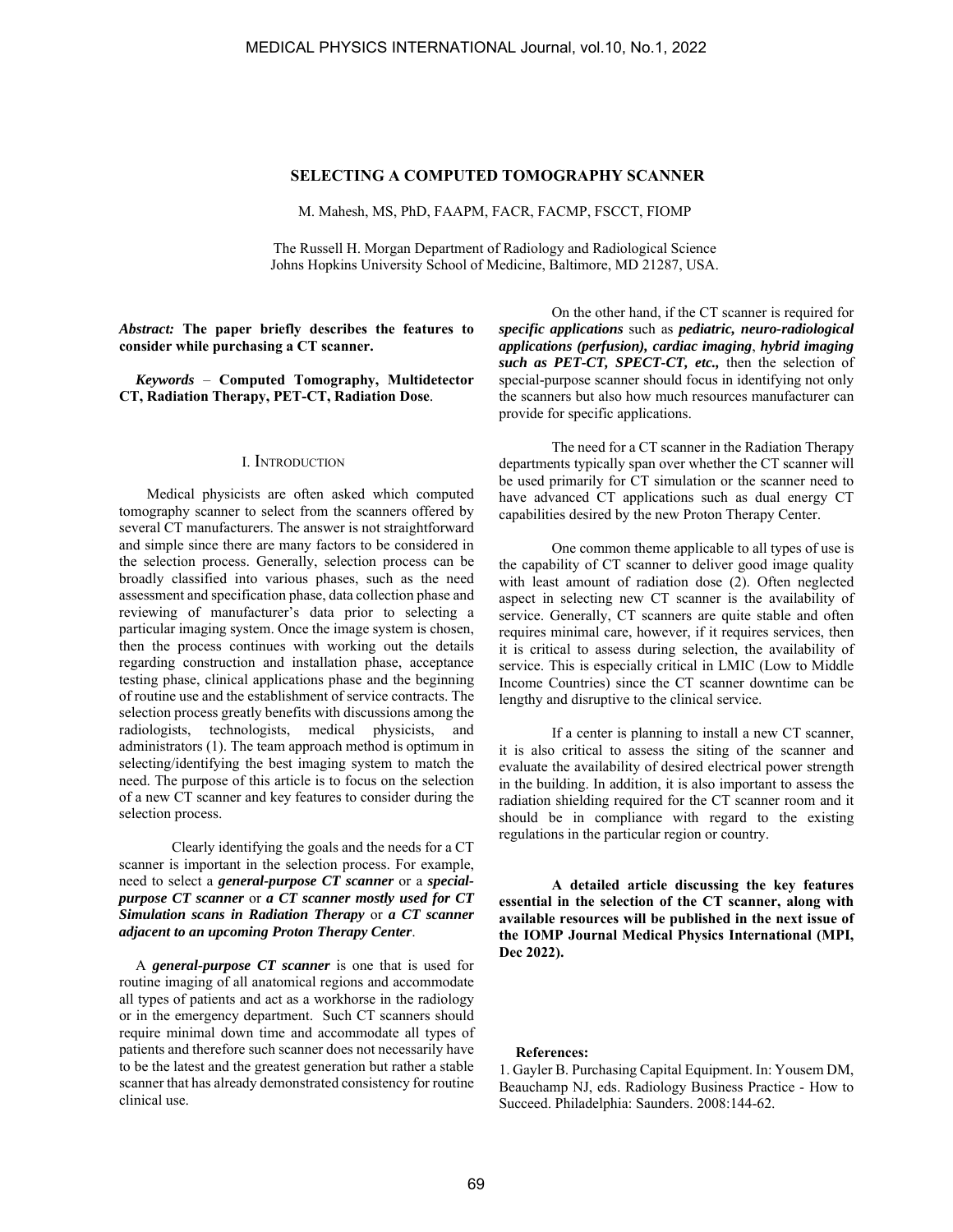## **SELECTING A COMPUTED TOMOGRAPHY SCANNER**

M. Mahesh, MS, PhD, FAAPM, FACR, FACMP, FSCCT, FIOMP

The Russell H. Morgan Department of Radiology and Radiological Science Johns Hopkins University School of Medicine, Baltimore, MD 21287, USA.

*Abstract:* **The paper briefly describes the features to consider while purchasing a CT scanner.**

*Keywords* – **Computed Tomography, Multidetector CT, Radiation Therapy, PET-CT, Radiation Dose***.* 

## I. INTRODUCTION

 Medical physicists are often asked which computed tomography scanner to select from the scanners offered by several CT manufacturers. The answer is not straightforward and simple since there are many factors to be considered in the selection process. Generally, selection process can be broadly classified into various phases, such as the need assessment and specification phase, data collection phase and reviewing of manufacturer's data prior to selecting a particular imaging system. Once the image system is chosen, then the process continues with working out the details regarding construction and installation phase, acceptance testing phase, clinical applications phase and the beginning of routine use and the establishment of service contracts. The selection process greatly benefits with discussions among the radiologists, technologists, medical physicists, and administrators (1). The team approach method is optimum in selecting/identifying the best imaging system to match the need. The purpose of this article is to focus on the selection of a new CT scanner and key features to consider during the selection process.

Clearly identifying the goals and the needs for a CT scanner is important in the selection process. For example, need to select a *general-purpose CT scanner* or a *specialpurpose CT scanner* or *a CT scanner mostly used for CT Simulation scans in Radiation Therapy* or *a CT scanner adjacent to an upcoming Proton Therapy Center*.

A *general-purpose CT scanner* is one that is used for routine imaging of all anatomical regions and accommodate all types of patients and act as a workhorse in the radiology or in the emergency department. Such CT scanners should require minimal down time and accommodate all types of patients and therefore such scanner does not necessarily have to be the latest and the greatest generation but rather a stable scanner that has already demonstrated consistency for routine clinical use.

On the other hand, if the CT scanner is required for *specific applications* such as *pediatric, neuro-radiological applications (perfusion), cardiac imaging*, *hybrid imaging such as PET-CT, SPECT-CT, etc.,* then the selection of special-purpose scanner should focus in identifying not only the scanners but also how much resources manufacturer can provide for specific applications.

The need for a CT scanner in the Radiation Therapy departments typically span over whether the CT scanner will be used primarily for CT simulation or the scanner need to have advanced CT applications such as dual energy CT capabilities desired by the new Proton Therapy Center.

One common theme applicable to all types of use is the capability of CT scanner to deliver good image quality with least amount of radiation dose (2). Often neglected aspect in selecting new CT scanner is the availability of service. Generally, CT scanners are quite stable and often requires minimal care, however, if it requires services, then it is critical to assess during selection, the availability of service. This is especially critical in LMIC (Low to Middle Income Countries) since the CT scanner downtime can be lengthy and disruptive to the clinical service.

If a center is planning to install a new CT scanner, it is also critical to assess the siting of the scanner and evaluate the availability of desired electrical power strength in the building. In addition, it is also important to assess the radiation shielding required for the CT scanner room and it should be in compliance with regard to the existing regulations in the particular region or country.

**A detailed article discussing the key features essential in the selection of the CT scanner, along with available resources will be published in the next issue of the IOMP Journal Medical Physics International (MPI, Dec 2022).** 

## **References:**

1. Gayler B. Purchasing Capital Equipment. In: Yousem DM, Beauchamp NJ, eds. Radiology Business Practice - How to Succeed. Philadelphia: Saunders. 2008:144-62.